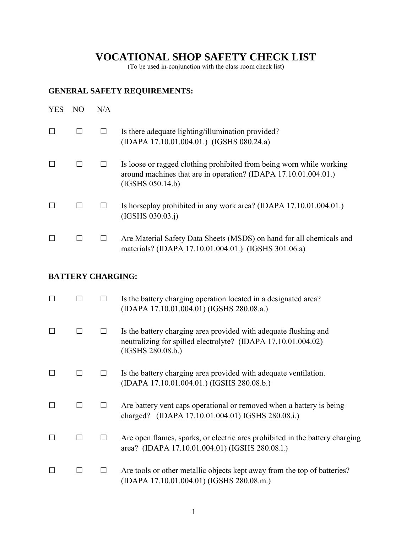# **VOCATIONAL SHOP SAFETY CHECK LIST**

(To be used in-conjunction with the class room check list)

## **GENERAL SAFETY REQUIREMENTS:**

| <b>YES</b> | N() | N/A |                                                                                                                                                             |
|------------|-----|-----|-------------------------------------------------------------------------------------------------------------------------------------------------------------|
|            |     |     | Is there adequate lighting/illumination provided?<br>(IDAPA 17.10.01.004.01.) (IGSHS 080.24.a)                                                              |
|            |     |     | Is loose or ragged clothing prohibited from being worn while working<br>around machines that are in operation? (IDAPA 17.10.01.004.01.)<br>(IGSHS 050.14.b) |
|            |     |     | Is horseplay prohibited in any work area? (IDAPA 17.10.01.004.01.)<br>(IGSHS 030.03.1)                                                                      |
|            |     |     | Are Material Safety Data Sheets (MSDS) on hand for all chemicals and<br>materials? (IDAPA 17.10.01.004.01.) (IGSHS 301.06.a)                                |

## **BATTERY CHARGING:**

| П      |  | Is the battery charging operation located in a designated area?<br>(IDAPA 17.10.01.004.01) (IGSHS 280.08.a.)                                           |
|--------|--|--------------------------------------------------------------------------------------------------------------------------------------------------------|
| $\Box$ |  | Is the battery charging area provided with adequate flushing and<br>neutralizing for spilled electrolyte? (IDAPA 17.10.01.004.02)<br>(IGSHS 280.08.b.) |
| $\Box$ |  | Is the battery charging area provided with adequate ventilation.<br>(IDAPA 17.10.01.004.01.) (IGSHS 280.08.b.)                                         |
| $\Box$ |  | Are battery vent caps operational or removed when a battery is being<br>charged? (IDAPA 17.10.01.004.01) IGSHS 280.08.i.)                              |
| $\Box$ |  | Are open flames, sparks, or electric arcs prohibited in the battery charging<br>area? (IDAPA 17.10.01.004.01) (IGSHS 280.08.1.)                        |
| П      |  | Are tools or other metallic objects kept away from the top of batteries?<br>(IDAPA 17.10.01.004.01) (IGSHS 280.08.m.)                                  |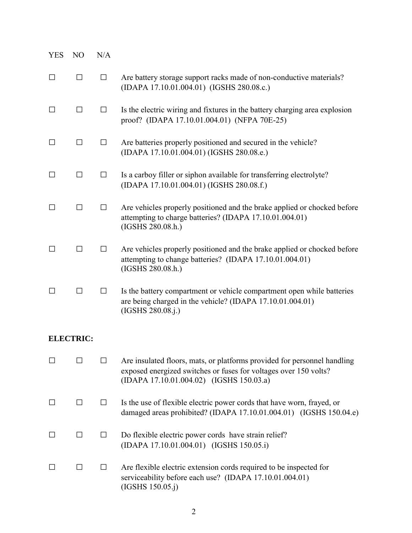| <b>YES</b> | N <sub>O</sub>   | N/A    |                                                                                                                                                                                          |
|------------|------------------|--------|------------------------------------------------------------------------------------------------------------------------------------------------------------------------------------------|
| $\Box$     | $\Box$           | $\Box$ | Are battery storage support racks made of non-conductive materials?<br>(IDAPA 17.10.01.004.01) (IGSHS 280.08.c.)                                                                         |
| $\Box$     | □                | $\Box$ | Is the electric wiring and fixtures in the battery charging area explosion<br>proof? (IDAPA 17.10.01.004.01) (NFPA 70E-25)                                                               |
| $\Box$     | $\Box$           | $\Box$ | Are batteries properly positioned and secured in the vehicle?<br>(IDAPA 17.10.01.004.01) (IGSHS 280.08.e.)                                                                               |
| $\Box$     | $\Box$           | $\Box$ | Is a carboy filler or siphon available for transferring electrolyte?<br>(IDAPA 17.10.01.004.01) (IGSHS 280.08.f.)                                                                        |
| $\Box$     | □                | $\Box$ | Are vehicles properly positioned and the brake applied or chocked before<br>attempting to charge batteries? (IDAPA 17.10.01.004.01)<br>(IGSHS 280.08.h.)                                 |
| $\perp$    | П                | $\Box$ | Are vehicles properly positioned and the brake applied or chocked before<br>attempting to change batteries? (IDAPA 17.10.01.004.01)<br>(IGSHS 280.08.h.)                                 |
| □          | $\Box$           | □      | Is the battery compartment or vehicle compartment open while batteries<br>are being charged in the vehicle? (IDAPA 17.10.01.004.01)<br>(IGSHS 280.08.j.)                                 |
|            | <b>ELECTRIC:</b> |        |                                                                                                                                                                                          |
| $\Box$     |                  | □      | Are insulated floors, mats, or platforms provided for personnel handling<br>exposed energized switches or fuses for voltages over 150 volts?<br>(IDAPA 17.10.01.004.02) (IGSHS 150.03.a) |
| $\Box$     | $\Box$           | $\Box$ | Is the use of flexible electric power cords that have worn, frayed, or<br>damaged areas prohibited? (IDAPA 17.10.01.004.01) (IGSHS 150.04.e)                                             |
| $\perp$    | □                | $\Box$ | Do flexible electric power cords have strain relief?<br>(IDAPA 17.10.01.004.01) (IGSHS 150.05.i)                                                                                         |
|            | $\Box$           | $\Box$ | Are flexible electric extension cords required to be inspected for<br>serviceability before each use? (IDAPA 17.10.01.004.01)<br>(IGSHS 150.05. j)                                       |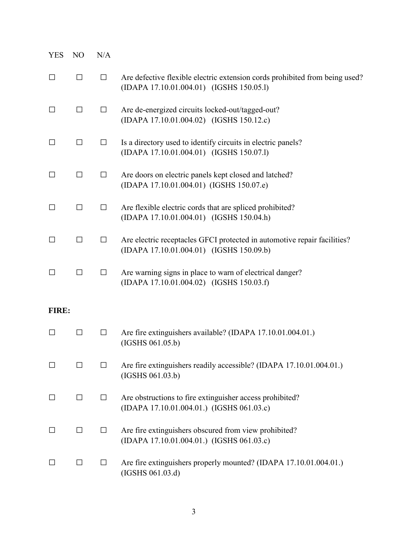| <b>YES</b>   | N <sub>O</sub> | N/A    |                                                                                                                         |
|--------------|----------------|--------|-------------------------------------------------------------------------------------------------------------------------|
| $\Box$       | $\Box$         | $\Box$ | Are defective flexible electric extension cords prohibited from being used?<br>(IDAPA 17.10.01.004.01) (IGSHS 150.05.1) |
| $\Box$       | $\Box$         | $\Box$ | Are de-energized circuits locked-out/tagged-out?<br>(IDAPA 17.10.01.004.02) (IGSHS 150.12.c)                            |
| $\Box$       | $\Box$         | $\Box$ | Is a directory used to identify circuits in electric panels?<br>(IDAPA 17.10.01.004.01) (IGSHS 150.07.1)                |
| $\Box$       | $\Box$         | $\Box$ | Are doors on electric panels kept closed and latched?<br>(IDAPA 17.10.01.004.01) (IGSHS 150.07.e)                       |
| $\Box$       | $\Box$         | $\Box$ | Are flexible electric cords that are spliced prohibited?<br>(IDAPA 17.10.01.004.01) (IGSHS 150.04.h)                    |
| □            | $\Box$         | $\Box$ | Are electric receptacles GFCI protected in automotive repair facilities?<br>(IDAPA 17.10.01.004.01) (IGSHS 150.09.b)    |
| $\perp$      | $\Box$         | $\Box$ | Are warning signs in place to warn of electrical danger?<br>(IDAPA 17.10.01.004.02) (IGSHS 150.03.f)                    |
| <b>FIRE:</b> |                |        |                                                                                                                         |
| $\Box$       | $\Box$         | $\Box$ | Are fire extinguishers available? (IDAPA 17.10.01.004.01.)<br>(IGSHS 061.05.b)                                          |
| $\mathsf{L}$ | $\Box$         | П      | Are fire extinguishers readily accessible? (IDAPA 17.10.01.004.01.)<br>(IGSHS 061.03.b)                                 |
| $\perp$      | $\perp$        | ⊔      | Are obstructions to fire extinguisher access prohibited?<br>(IDAPA 17.10.01.004.01.) (IGSHS 061.03.c)                   |
|              | $\Box$         | $\Box$ | Are fire extinguishers obscured from view prohibited?<br>(IDAPA 17.10.01.004.01.) (IGSHS 061.03.c)                      |
|              | $\perp$        | $\Box$ | Are fire extinguishers properly mounted? (IDAPA 17.10.01.004.01.)<br>(IGSHS 061.03.d)                                   |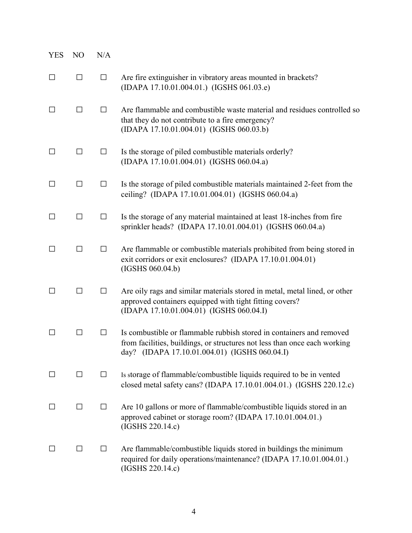| <b>YES</b>   | N <sub>O</sub> | N/A     |                                                                                                                                                                                                    |
|--------------|----------------|---------|----------------------------------------------------------------------------------------------------------------------------------------------------------------------------------------------------|
| $\Box$       | $\Box$         | $\Box$  | Are fire extinguisher in vibratory areas mounted in brackets?<br>(IDAPA 17.10.01.004.01.) (IGSHS 061.03.e)                                                                                         |
| $\perp$      | □              | $\Box$  | Are flammable and combustible waste material and residues controlled so<br>that they do not contribute to a fire emergency?<br>(IDAPA 17.10.01.004.01) (IGSHS 060.03.b)                            |
| $\Box$       | □              | $\Box$  | Is the storage of piled combustible materials orderly?<br>(IDAPA 17.10.01.004.01) (IGSHS 060.04.a)                                                                                                 |
| □            | □              | $\Box$  | Is the storage of piled combustible materials maintained 2-feet from the<br>ceiling? (IDAPA 17.10.01.004.01) (IGSHS 060.04.a)                                                                      |
| □            | □              | $\Box$  | Is the storage of any material maintained at least 18-inches from fire<br>sprinkler heads? (IDAPA 17.10.01.004.01) (IGSHS 060.04.a)                                                                |
| $\mathsf{L}$ | П              | $\Box$  | Are flammable or combustible materials prohibited from being stored in<br>exit corridors or exit enclosures? (IDAPA 17.10.01.004.01)<br>(IGSHS 060.04.b)                                           |
| П            | $\Box$         | $\Box$  | Are oily rags and similar materials stored in metal, metal lined, or other<br>approved containers equipped with tight fitting covers?<br>(IDAPA 17.10.01.004.01) (IGSHS 060.04.I)                  |
| $\Box$       | П              | $\perp$ | Is combustible or flammable rubbish stored in containers and removed<br>from facilities, buildings, or structures not less than once each working<br>day? (IDAPA 17.10.01.004.01) (IGSHS 060.04.I) |
| ⊔            | $\Box$         | $\Box$  | Is storage of flammable/combustible liquids required to be in vented<br>closed metal safety cans? (IDAPA 17.10.01.004.01.) (IGSHS 220.12.c)                                                        |
| $\mathsf{L}$ | $\Box$         | $\Box$  | Are 10 gallons or more of flammable/combustible liquids stored in an<br>approved cabinet or storage room? (IDAPA 17.10.01.004.01.)<br>(IGSHS 220.14.c)                                             |
| $\perp$      | ΙI             | $\Box$  | Are flammable/combustible liquids stored in buildings the minimum<br>required for daily operations/maintenance? (IDAPA 17.10.01.004.01.)<br>(IGSHS 220.14.c)                                       |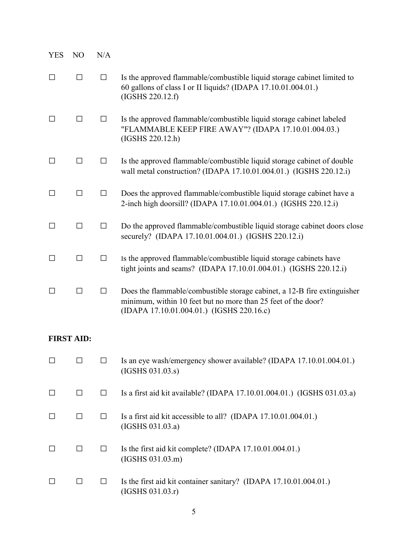| <b>YES</b>        | NO      | N/A    |                                                                                                                                                                                        |
|-------------------|---------|--------|----------------------------------------------------------------------------------------------------------------------------------------------------------------------------------------|
| $\Box$            | П       | $\Box$ | Is the approved flammable/combustible liquid storage cabinet limited to<br>60 gallons of class I or II liquids? (IDAPA 17.10.01.004.01.)<br>(IGSHS 220.12.f)                           |
| $\perp$           | ΙI      | П      | Is the approved flammable/combustible liquid storage cabinet labeled<br>"FLAMMABLE KEEP FIRE AWAY"? (IDAPA 17.10.01.004.03.)<br>(IGSHS 220.12.h)                                       |
| $\Box$            | П       | $\Box$ | Is the approved flammable/combustible liquid storage cabinet of double<br>wall metal construction? (IDAPA 17.10.01.004.01.) (IGSHS 220.12.i)                                           |
| $\Box$            | П       | $\Box$ | Does the approved flammable/combustible liquid storage cabinet have a<br>2-inch high doorsill? (IDAPA 17.10.01.004.01.) (IGSHS 220.12.i)                                               |
| П                 | П       | □      | Do the approved flammable/combustible liquid storage cabinet doors close<br>securely? (IDAPA 17.10.01.004.01.) (IGSHS 220.12.i)                                                        |
| $\perp$           | П       | □      | Is the approved flammable/combustible liquid storage cabinets have<br>tight joints and seams? (IDAPA 17.10.01.004.01.) (IGSHS 220.12.i)                                                |
| ΙI                | $\perp$ | $\Box$ | Does the flammable/combustible storage cabinet, a 12-B fire extinguisher<br>minimum, within 10 feet but no more than 25 feet of the door?<br>(IDAPA 17.10.01.004.01.) (IGSHS 220.16.c) |
| <b>FIRST AID:</b> |         |        |                                                                                                                                                                                        |
| П                 | П       | П      | Is an eye wash/emergency shower available? (IDAPA 17.10.01.004.01.)<br>(IGSHS 031.03.s)                                                                                                |
| $\Box$            | $\Box$  | $\Box$ | Is a first aid kit available? (IDAPA 17.10.01.004.01.) (IGSHS 031.03.a)                                                                                                                |
| $\Box$            | □       | □      | Is a first aid kit accessible to all? (IDAPA 17.10.01.004.01.)<br>(IGSHS 031.03.a)                                                                                                     |
| $\Box$            | □       | $\Box$ | Is the first aid kit complete? (IDAPA 17.10.01.004.01.)<br>(IGSHS 031.03.m)                                                                                                            |
| $\Box$            | □       | $\Box$ | Is the first aid kit container sanitary? (IDAPA 17.10.01.004.01.)<br>(IGSHS 031.03.r)                                                                                                  |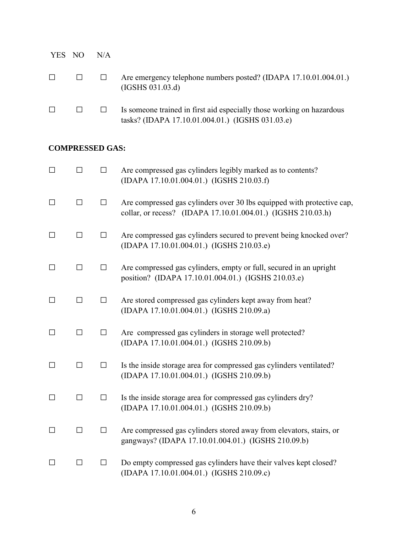| YES NO | N/A |                                                                                                                           |
|--------|-----|---------------------------------------------------------------------------------------------------------------------------|
| $\Box$ |     | Are emergency telephone numbers posted? (IDAPA 17.10.01.004.01.)<br>(IGSHS 031.03.d)                                      |
|        |     | Is someone trained in first aid especially those working on hazardous<br>tasks? (IDAPA 17.10.01.004.01.) (IGSHS 031.03.e) |

#### **COMPRESSED GAS:**

| $\Box$ | $\Box$ | $\Box$ | Are compressed gas cylinders legibly marked as to contents?<br>(IDAPA 17.10.01.004.01.) (IGSHS 210.03.f)                               |
|--------|--------|--------|----------------------------------------------------------------------------------------------------------------------------------------|
| $\Box$ | $\Box$ | $\Box$ | Are compressed gas cylinders over 30 lbs equipped with protective cap,<br>collar, or recess? (IDAPA 17.10.01.004.01.) (IGSHS 210.03.h) |
| $\Box$ | $\Box$ | $\Box$ | Are compressed gas cylinders secured to prevent being knocked over?<br>(IDAPA 17.10.01.004.01.) (IGSHS 210.03.e)                       |
| $\Box$ | $\Box$ | $\Box$ | Are compressed gas cylinders, empty or full, secured in an upright<br>position? (IDAPA 17.10.01.004.01.) (IGSHS 210.03.e)              |
| $\Box$ | $\Box$ | $\Box$ | Are stored compressed gas cylinders kept away from heat?<br>(IDAPA 17.10.01.004.01.) (IGSHS 210.09.a)                                  |
| $\Box$ | $\Box$ | $\Box$ | Are compressed gas cylinders in storage well protected?<br>(IDAPA 17.10.01.004.01.) (IGSHS 210.09.b)                                   |
| $\Box$ | П      | $\Box$ | Is the inside storage area for compressed gas cylinders ventilated?<br>(IDAPA 17.10.01.004.01.) (IGSHS 210.09.b)                       |
| П      | П      | $\Box$ | Is the inside storage area for compressed gas cylinders dry?<br>(IDAPA 17.10.01.004.01.) (IGSHS 210.09.b)                              |
| $\Box$ | П      | $\Box$ | Are compressed gas cylinders stored away from elevators, stairs, or<br>gangways? (IDAPA 17.10.01.004.01.) (IGSHS 210.09.b)             |
| □      | П      | $\Box$ | Do empty compressed gas cylinders have their valves kept closed?<br>(IDAPA 17.10.01.004.01.) (IGSHS 210.09.c)                          |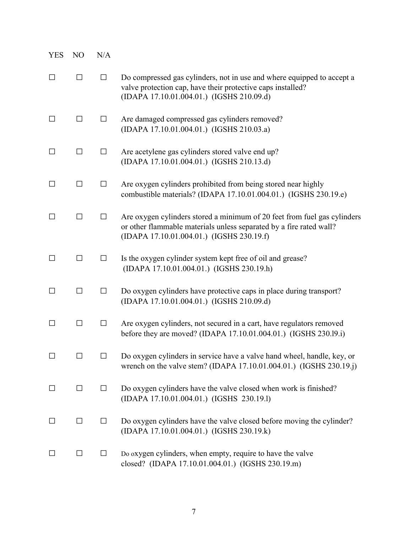| <b>YES</b> | N <sub>O</sub> | N/A    |                                                                                                                                                                                              |
|------------|----------------|--------|----------------------------------------------------------------------------------------------------------------------------------------------------------------------------------------------|
| П          | $\Box$         | $\Box$ | Do compressed gas cylinders, not in use and where equipped to accept a<br>valve protection cap, have their protective caps installed?<br>(IDAPA 17.10.01.004.01.) (IGSHS 210.09.d)           |
| $\perp$    | □              | $\Box$ | Are damaged compressed gas cylinders removed?<br>(IDAPA 17.10.01.004.01.) (IGSHS 210.03.a)                                                                                                   |
| $\perp$    | $\Box$         | $\Box$ | Are acetylene gas cylinders stored valve end up?<br>(IDAPA 17.10.01.004.01.) (IGSHS 210.13.d)                                                                                                |
| $\perp$    | □              | $\Box$ | Are oxygen cylinders prohibited from being stored near highly<br>combustible materials? (IDAPA 17.10.01.004.01.) (IGSHS 230.19.e)                                                            |
| $\perp$    | □              | $\Box$ | Are oxygen cylinders stored a minimum of 20 feet from fuel gas cylinders<br>or other flammable materials unless separated by a fire rated wall?<br>(IDAPA 17.10.01.004.01.) (IGSHS 230.19.f) |
| П          | $\Box$         | $\Box$ | Is the oxygen cylinder system kept free of oil and grease?<br>(IDAPA 17.10.01.004.01.) (IGSHS 230.19.h)                                                                                      |
|            | $\Box$         | $\Box$ | Do oxygen cylinders have protective caps in place during transport?<br>(IDAPA 17.10.01.004.01.) (IGSHS 210.09.d)                                                                             |
|            | $\Box$         | □      | Are oxygen cylinders, not secured in a cart, have regulators removed<br>before they are moved? (IDAPA 17.10.01.004.01.) (IGSHS 230.19.1)                                                     |
| П          | □              | $\Box$ | Do oxygen cylinders in service have a valve hand wheel, handle, key, or<br>wrench on the valve stem? (IDAPA 17.10.01.004.01.) (IGSHS 230.19.j)                                               |
| $\Box$     | $\Box$         | $\Box$ | Do oxygen cylinders have the valve closed when work is finished?<br>(IDAPA 17.10.01.004.01.) (IGSHS 230.19.1)                                                                                |
| $\perp$    | $\Box$         | $\Box$ | Do oxygen cylinders have the valve closed before moving the cylinder?<br>(IDAPA 17.10.01.004.01.) (IGSHS 230.19.k)                                                                           |
| $\perp$    | $\Box$         | $\Box$ | Do oxygen cylinders, when empty, require to have the valve<br>closed? (IDAPA 17.10.01.004.01.) (IGSHS 230.19.m)                                                                              |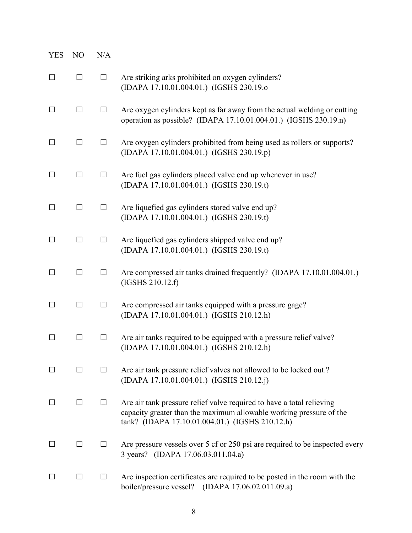| <b>YES</b>   | N <sub>O</sub> | N/A    |                                                                                                                                                                                                 |
|--------------|----------------|--------|-------------------------------------------------------------------------------------------------------------------------------------------------------------------------------------------------|
| $\Box$       | $\Box$         | □      | Are striking arks prohibited on oxygen cylinders?<br>(IDAPA 17.10.01.004.01.) (IGSHS 230.19.o                                                                                                   |
| □            | $\Box$         | $\Box$ | Are oxygen cylinders kept as far away from the actual welding or cutting<br>operation as possible? (IDAPA 17.10.01.004.01.) (IGSHS 230.19.n)                                                    |
| $\Box$       | $\Box$         | $\Box$ | Are oxygen cylinders prohibited from being used as rollers or supports?<br>(IDAPA 17.10.01.004.01.) (IGSHS 230.19.p)                                                                            |
| $\Box$       | $\Box$         | $\Box$ | Are fuel gas cylinders placed valve end up whenever in use?<br>(IDAPA 17.10.01.004.01.) (IGSHS 230.19.t)                                                                                        |
| $\Box$       | $\Box$         | $\Box$ | Are liquefied gas cylinders stored valve end up?<br>(IDAPA 17.10.01.004.01.) (IGSHS 230.19.t)                                                                                                   |
| $\Box$       | $\Box$         | $\Box$ | Are liquefied gas cylinders shipped valve end up?<br>(IDAPA 17.10.01.004.01.) (IGSHS 230.19.t)                                                                                                  |
| □            | $\Box$         | $\Box$ | Are compressed air tanks drained frequently? (IDAPA 17.10.01.004.01.)<br>(IGSHS 210.12.f)                                                                                                       |
| □            | $\Box$         | $\Box$ | Are compressed air tanks equipped with a pressure gage?<br>(IDAPA 17.10.01.004.01.) (IGSHS 210.12.h)                                                                                            |
| $\Box$       | $\Box$         | $\Box$ | Are air tanks required to be equipped with a pressure relief valve?<br>(IDAPA 17.10.01.004.01.) (IGSHS 210.12.h)                                                                                |
| ΙI           | $\perp$        | $\Box$ | Are air tank pressure relief valves not allowed to be locked out.?<br>(IDAPA 17.10.01.004.01.) (IGSHS 210.12.j)                                                                                 |
| $\perp$      | □              | $\Box$ | Are air tank pressure relief valve required to have a total relieving<br>capacity greater than the maximum allowable working pressure of the<br>tank? (IDAPA 17.10.01.004.01.) (IGSHS 210.12.h) |
| $\perp$      | $\Box$         | $\Box$ | Are pressure vessels over 5 cf or 250 psi are required to be inspected every<br>3 years? (IDAPA 17.06.03.011.04.a)                                                                              |
| $\mathsf{L}$ | □              | П      | Are inspection certificates are required to be posted in the room with the<br>boiler/pressure vessel? (IDAPA 17.06.02.011.09.a)                                                                 |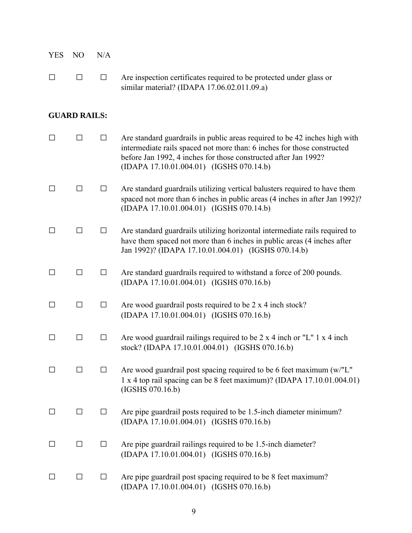| <b>YES</b> | N <sub>O</sub>      | N/A     |                                                                                                                                                                                                                                                                      |
|------------|---------------------|---------|----------------------------------------------------------------------------------------------------------------------------------------------------------------------------------------------------------------------------------------------------------------------|
|            | П                   | П       | Are inspection certificates required to be protected under glass or<br>similar material? (IDAPA 17.06.02.011.09.a)                                                                                                                                                   |
|            | <b>GUARD RAILS:</b> |         |                                                                                                                                                                                                                                                                      |
|            | $\mathsf{L}$        | $\Box$  | Are standard guardrails in public areas required to be 42 inches high with<br>intermediate rails spaced not more than: 6 inches for those constructed<br>before Jan 1992, 4 inches for those constructed after Jan 1992?<br>(IDAPA 17.10.01.004.01) (IGSHS 070.14.b) |
|            | П                   | $\perp$ | Are standard guardrails utilizing vertical balusters required to have them<br>spaced not more than 6 inches in public areas (4 inches in after Jan 1992)?<br>(IDAPA 17.10.01.004.01) (IGSHS 070.14.b)                                                                |
|            | П                   | $\perp$ | Are standard guardrails utilizing horizontal intermediate rails required to<br>have them spaced not more than 6 inches in public areas (4 inches after<br>Jan 1992)? (IDAPA 17.10.01.004.01) (IGSHS 070.14.b)                                                        |
| $\Box$     | □                   | $\Box$  | Are standard guardrails required to withstand a force of 200 pounds.<br>(IDAPA 17.10.01.004.01) (IGSHS 070.16.b)                                                                                                                                                     |
|            |                     |         | Are wood guardrail posts required to be 2 x 4 inch stock?                                                                                                                                                                                                            |

(IDAPA 17.10.01.004.01) (IGSHS 070.16.b)

 $\Box$   $\Box$  Are wood guardrail railings required to be 2 x 4 inch or "L" 1 x 4 inch stock? (IDAPA 17.10.01.004.01) (IGSHS 070.16.b)

 $\square$   $\square$   $\square$  Are wood guardrail post spacing required to be 6 feet maximum (w/"L" 1 x 4 top rail spacing can be 8 feet maximum)? (IDAPA 17.10.01.004.01) (IGSHS 070.16.b)

## □ □ □ Are pipe guardrail posts required to be 1.5-inch diameter minimum? (IDAPA 17.10.01.004.01) (IGSHS 070.16.b)

- $\Box$   $\Box$  Are pipe guardrail railings required to be 1.5-inch diameter? (IDAPA 17.10.01.004.01) (IGSHS 070.16.b)
- $\Box$   $\Box$  Are pipe guardrail post spacing required to be 8 feet maximum? (IDAPA 17.10.01.004.01) (IGSHS 070.16.b)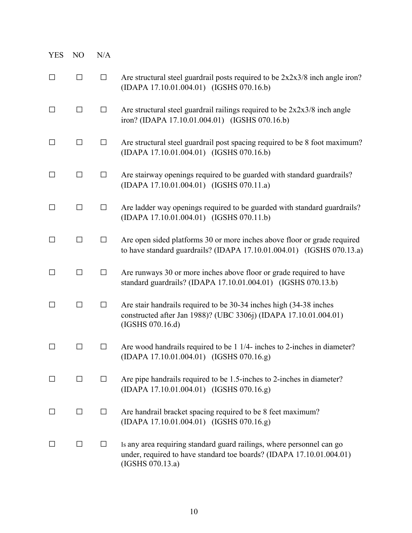| <b>YES</b> | NO     | N/A          |                                                                                                                                                                   |
|------------|--------|--------------|-------------------------------------------------------------------------------------------------------------------------------------------------------------------|
| $\Box$     | $\Box$ | $\Box$       | Are structural steel guardrail posts required to be $2x2x3/8$ inch angle iron?<br>(IDAPA 17.10.01.004.01) (IGSHS 070.16.b)                                        |
| □          | □      | □            | Are structural steel guardrail railings required to be $2x2x3/8$ inch angle<br>iron? (IDAPA 17.10.01.004.01) (IGSHS 070.16.b)                                     |
| □          | П      | □            | Are structural steel guardrail post spacing required to be 8 foot maximum?<br>(IDAPA 17.10.01.004.01) (IGSHS 070.16.b)                                            |
| □          | □      | $\Box$       | Are stairway openings required to be guarded with standard guardrails?<br>(IDAPA 17.10.01.004.01) (IGSHS 070.11.a)                                                |
| $\Box$     | $\Box$ | $\Box$       | Are ladder way openings required to be guarded with standard guardrails?<br>(IDAPA 17.10.01.004.01) (IGSHS 070.11.b)                                              |
| $\Box$     | $\Box$ | $\Box$       | Are open sided platforms 30 or more inches above floor or grade required<br>to have standard guardrails? (IDAPA 17.10.01.004.01) (IGSHS 070.13.a)                 |
| □          | П      | □            | Are runways 30 or more inches above floor or grade required to have<br>standard guardrails? (IDAPA 17.10.01.004.01) (IGSHS 070.13.b)                              |
| □          | $\Box$ | $\Box$       | Are stair handrails required to be 30-34 inches high (34-38 inches<br>constructed after Jan 1988)? (UBC 3306j) (IDAPA 17.10.01.004.01)<br>(IGSHS 070.16.d)        |
|            |        | $\mathsf{L}$ | Are wood handrails required to be 1 1/4- inches to 2-inches in diameter?<br>(IDAPA 17.10.01.004.01) (IGSHS 070.16.g)                                              |
| $\Box$     | □      | $\Box$       | Are pipe handrails required to be 1.5-inches to 2-inches in diameter?<br>(IDAPA 17.10.01.004.01) (IGSHS 070.16.g)                                                 |
| $\Box$     | □      | $\Box$       | Are handrail bracket spacing required to be 8 feet maximum?<br>(IDAPA 17.10.01.004.01) (IGSHS 070.16.g)                                                           |
| $\perp$    | □      | □            | Is any area requiring standard guard railings, where personnel can go<br>under, required to have standard toe boards? (IDAPA 17.10.01.004.01)<br>(IGSHS 070.13.a) |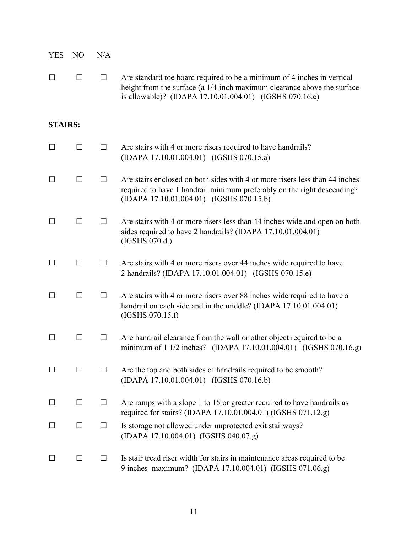| <b>YES</b>     | N <sub>O</sub> | N/A    |                                                                                                                                                                                                               |
|----------------|----------------|--------|---------------------------------------------------------------------------------------------------------------------------------------------------------------------------------------------------------------|
| $\Box$         | $\Box$         | $\Box$ | Are standard toe board required to be a minimum of 4 inches in vertical<br>height from the surface (a 1/4-inch maximum clearance above the surface<br>is allowable)? (IDAPA 17.10.01.004.01) (IGSHS 070.16.c) |
| <b>STAIRS:</b> |                |        |                                                                                                                                                                                                               |
| $\Box$         | $\Box$         | □      | Are stairs with 4 or more risers required to have handrails?<br>(IDAPA 17.10.01.004.01) (IGSHS 070.15.a)                                                                                                      |
| $\perp$        | $\Box$         | $\Box$ | Are stairs enclosed on both sides with 4 or more risers less than 44 inches<br>required to have 1 handrail minimum preferably on the right descending?<br>(IDAPA 17.10.01.004.01) (IGSHS 070.15.b)            |
| $\perp$        | □              | $\Box$ | Are stairs with 4 or more risers less than 44 inches wide and open on both<br>sides required to have 2 handrails? (IDAPA 17.10.01.004.01)<br>(IGSHS 070.d.)                                                   |
|                | □              | □      | Are stairs with 4 or more risers over 44 inches wide required to have<br>2 handrails? (IDAPA 17.10.01.004.01) (IGSHS 070.15.e)                                                                                |
|                | $\Box$         | $\Box$ | Are stairs with 4 or more risers over 88 inches wide required to have a<br>handrail on each side and in the middle? (IDAPA 17.10.01.004.01)<br>(IGSHS 070.15.f)                                               |
| $\perp$        | □              | $\Box$ | Are handrail clearance from the wall or other object required to be a<br>minimum of 1 1/2 inches? (IDAPA 17.10.01.004.01) (IGSHS 070.16.g)                                                                    |
| $\perp$        | □              | $\Box$ | Are the top and both sides of handrails required to be smooth?<br>(IDAPA 17.10.01.004.01) (IGSHS 070.16.b)                                                                                                    |
| $\Box$         | $\Box$         | $\Box$ | Are ramps with a slope 1 to 15 or greater required to have handrails as<br>required for stairs? (IDAPA 17.10.01.004.01) (IGSHS 071.12.g)                                                                      |
| ΙI             | $\Box$         | $\Box$ | Is storage not allowed under unprotected exit stairways?<br>(IDAPA 17.10.004.01) (IGSHS 040.07.g)                                                                                                             |
| ΙI             | $\Box$         | $\Box$ | Is stair tread riser width for stairs in maintenance areas required to be<br>9 inches maximum? (IDAPA 17.10.004.01) (IGSHS 071.06.g)                                                                          |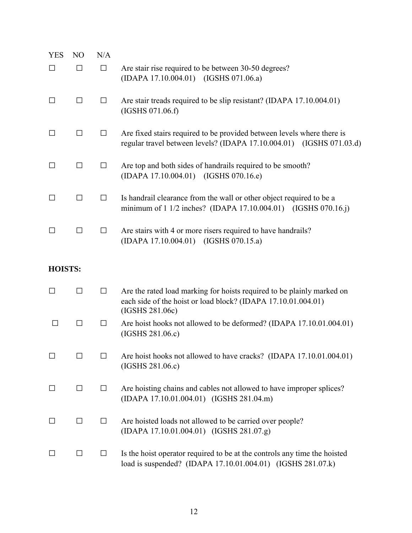| <b>YES</b>     | N <sub>O</sub> | N/A    |                                                                                                                                                            |
|----------------|----------------|--------|------------------------------------------------------------------------------------------------------------------------------------------------------------|
| $\Box$         | □              | $\Box$ | Are stair rise required to be between 30-50 degrees?<br>(IDAPA 17.10.004.01) (IGSHS 071.06.a)                                                              |
| $\Box$         | $\Box$         | ⊔      | Are stair treads required to be slip resistant? (IDAPA 17.10.004.01)<br>(IGSHS 071.06.f)                                                                   |
| $\Box$         | □              | $\Box$ | Are fixed stairs required to be provided between levels where there is<br>regular travel between levels? (IDAPA 17.10.004.01) (IGSHS 071.03.d)             |
| $\Box$         | □              | $\Box$ | Are top and both sides of handrails required to be smooth?<br>(IDAPA 17.10.004.01) (IGSHS 070.16.e)                                                        |
| $\Box$         | □              | $\Box$ | Is handrail clearance from the wall or other object required to be a<br>minimum of 1 1/2 inches? (IDAPA 17.10.004.01) (IGSHS 070.16.j)                     |
| $\Box$         | □              | $\Box$ | Are stairs with 4 or more risers required to have handrails?<br>(IDAPA 17.10.004.01) (IGSHS 070.15.a)                                                      |
| <b>HOISTS:</b> |                |        |                                                                                                                                                            |
| $\Box$         | $\Box$         | $\Box$ | Are the rated load marking for hoists required to be plainly marked on<br>each side of the hoist or load block? (IDAPA 17.10.01.004.01)<br>(IGSHS 281.06c) |
| □              | $\Box$         | $\Box$ | Are hoist hooks not allowed to be deformed? (IDAPA 17.10.01.004.01)<br>(IGSHS 281.06.c)                                                                    |
| $\Box$         | ΙI             | ΙI     | Are hoist hooks not allowed to have cracks? (IDAPA 17.10.01.004.01)<br>(IGSHS 281.06.c)                                                                    |
| $\Box$         | $\Box$         | ப      | Are hoisting chains and cables not allowed to have improper splices?<br>(IDAPA 17.10.01.004.01) (IGSHS 281.04.m)                                           |
| $\Box$         | ப              | ⊔      | Are hoisted loads not allowed to be carried over people?<br>(IDAPA 17.10.01.004.01) (IGSHS 281.07.g)                                                       |
| ⊔              | П              | $\Box$ | Is the hoist operator required to be at the controls any time the hoisted<br>load is suspended? (IDAPA 17.10.01.004.01) (IGSHS 281.07.k)                   |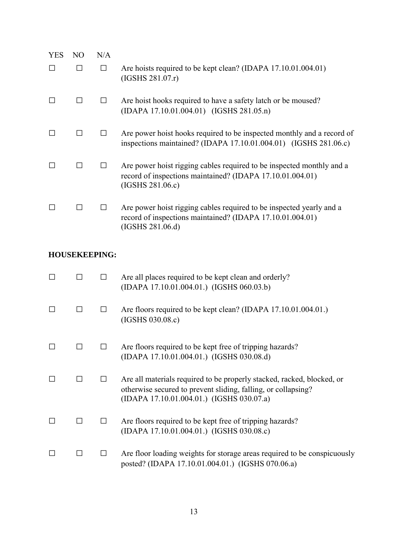| <b>YES</b> | NO. | N/A |                                                                                                                                                        |
|------------|-----|-----|--------------------------------------------------------------------------------------------------------------------------------------------------------|
|            | П   | П   | Are hoists required to be kept clean? (IDAPA 17.10.01.004.01)<br>(IGSHS 281.07r)                                                                       |
|            |     |     | Are hoist hooks required to have a safety latch or be moused?<br>(IDAPA 17.10.01.004.01) (IGSHS 281.05.n)                                              |
|            | П   |     | Are power hoist hooks required to be inspected monthly and a record of<br>inspections maintained? (IDAPA 17.10.01.004.01) (IGSHS 281.06.c)             |
|            | П   |     | Are power hoist rigging cables required to be inspected monthly and a<br>record of inspections maintained? (IDAPA 17.10.01.004.01)<br>(IGSHS 281.06.c) |
|            |     |     | Are power hoist rigging cables required to be inspected yearly and a<br>record of inspections maintained? (IDAPA 17.10.01.004.01)<br>(IGSHS 281.06.d)  |

## **HOUSEKEEPING:**

|        |  | Are all places required to be kept clean and orderly?<br>(IDAPA 17.10.01.004.01.) (IGSHS 060.03.b)                                                                                   |
|--------|--|--------------------------------------------------------------------------------------------------------------------------------------------------------------------------------------|
| П      |  | Are floors required to be kept clean? (IDAPA 17.10.01.004.01.)<br>(IGSHS 030.08.c)                                                                                                   |
| П      |  | Are floors required to be kept free of tripping hazards?<br>(IDAPA 17.10.01.004.01.) (IGSHS 030.08.d)                                                                                |
|        |  | Are all materials required to be properly stacked, racked, blocked, or<br>otherwise secured to prevent sliding, falling, or collapsing?<br>(IDAPA 17.10.01.004.01.) (IGSHS 030.07.a) |
| $\Box$ |  | Are floors required to be kept free of tripping hazards?<br>(IDAPA 17.10.01.004.01.) (IGSHS 030.08.c)                                                                                |
|        |  | Are floor loading weights for storage areas required to be conspicuously<br>posted? (IDAPA 17.10.01.004.01.) (IGSHS 070.06.a)                                                        |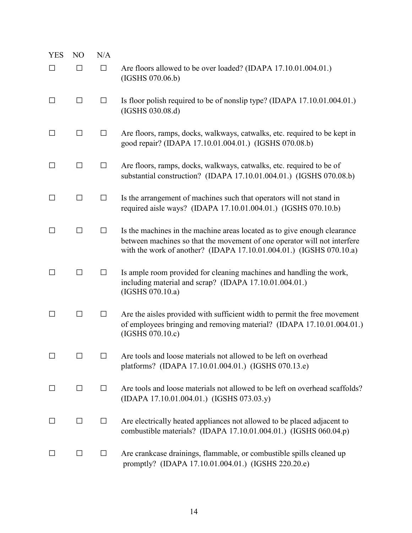| <b>YES</b>   | N <sub>O</sub> | N/A    |                                                                                                                                                                                                                             |
|--------------|----------------|--------|-----------------------------------------------------------------------------------------------------------------------------------------------------------------------------------------------------------------------------|
| П            | П              | $\Box$ | Are floors allowed to be over loaded? (IDAPA 17.10.01.004.01.)<br>(IGSHS 070.06.b)                                                                                                                                          |
| $\Box$       | $\Box$         | $\Box$ | Is floor polish required to be of nonslip type? (IDAPA 17.10.01.004.01.)<br>(IGSHS 030.08.d)                                                                                                                                |
| П            | $\Box$         | $\Box$ | Are floors, ramps, docks, walkways, catwalks, etc. required to be kept in<br>good repair? (IDAPA 17.10.01.004.01.) (IGSHS 070.08.b)                                                                                         |
| П            | $\Box$         | $\Box$ | Are floors, ramps, docks, walkways, catwalks, etc. required to be of<br>substantial construction? (IDAPA 17.10.01.004.01.) (IGSHS 070.08.b)                                                                                 |
| $\perp$      | П              | $\Box$ | Is the arrangement of machines such that operators will not stand in<br>required aisle ways? (IDAPA 17.10.01.004.01.) (IGSHS 070.10.b)                                                                                      |
| ΙI           | П              | $\Box$ | Is the machines in the machine areas located as to give enough clearance<br>between machines so that the movement of one operator will not interfere<br>with the work of another? (IDAPA 17.10.01.004.01.) (IGSHS 070.10.a) |
| $\mathsf{L}$ | П              | $\Box$ | Is ample room provided for cleaning machines and handling the work,<br>including material and scrap? (IDAPA 17.10.01.004.01.)<br>(IGSHS 070.10.a)                                                                           |
| ΙI           | □              | $\Box$ | Are the aisles provided with sufficient width to permit the free movement<br>of employees bringing and removing material? (IDAPA 17.10.01.004.01.)<br>(IGSHS 070.10.c)                                                      |
|              |                | П      | Are tools and loose materials not allowed to be left on overhead<br>platforms? (IDAPA 17.10.01.004.01.) (IGSHS 070.13.e)                                                                                                    |
| $\perp$      | $\Box$         | $\Box$ | Are tools and loose materials not allowed to be left on overhead scaffolds?<br>(IDAPA 17.10.01.004.01.) (IGSHS 073.03.y)                                                                                                    |
| $\Box$       | $\Box$         | $\Box$ | Are electrically heated appliances not allowed to be placed adjacent to<br>combustible materials? (IDAPA 17.10.01.004.01.) (IGSHS 060.04.p)                                                                                 |
|              | $\Box$         | $\Box$ | Are crankcase drainings, flammable, or combustible spills cleaned up<br>promptly? (IDAPA 17.10.01.004.01.) (IGSHS 220.20.e)                                                                                                 |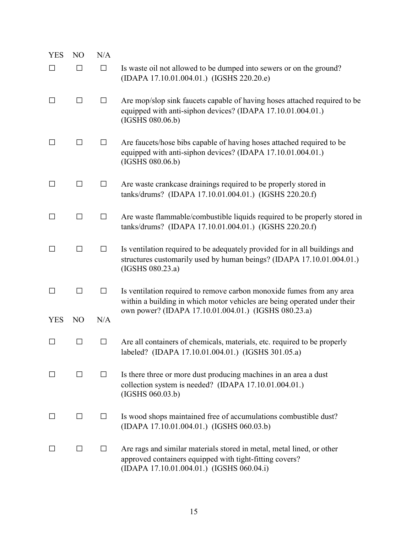| <b>YES</b> | N <sub>O</sub> | N/A     |                                                                                                                                                                               |
|------------|----------------|---------|-------------------------------------------------------------------------------------------------------------------------------------------------------------------------------|
| $\Box$     | П              | $\Box$  | Is waste oil not allowed to be dumped into sewers or on the ground?<br>(IDAPA 17.10.01.004.01.) (IGSHS 220.20.e)                                                              |
| $\Box$     | $\Box$         | $\Box$  | Are mop/slop sink faucets capable of having hoses attached required to be<br>equipped with anti-siphon devices? (IDAPA 17.10.01.004.01.)<br>(IGSHS 080.06.b)                  |
|            | $\Box$         | $\Box$  | Are faucets/hose bibs capable of having hoses attached required to be<br>equipped with anti-siphon devices? (IDAPA 17.10.01.004.01.)<br>(IGSHS 080.06.b)                      |
| $\Box$     | $\Box$         | $\Box$  | Are waste crankcase drainings required to be properly stored in<br>tanks/drums? (IDAPA 17.10.01.004.01.) (IGSHS 220.20.f)                                                     |
| $\Box$     | $\Box$         | $\Box$  | Are waste flammable/combustible liquids required to be properly stored in<br>tanks/drums? (IDAPA 17.10.01.004.01.) (IGSHS 220.20.f)                                           |
| $\Box$     | □              | $\Box$  | Is ventilation required to be adequately provided for in all buildings and<br>structures customarily used by human beings? (IDAPA 17.10.01.004.01.)<br>(IGSHS 080.23.a)       |
| $\Box$     | $\Box$         | $\Box$  | Is ventilation required to remove carbon monoxide fumes from any area<br>within a building in which motor vehicles are being operated under their                             |
| <b>YES</b> | N <sub>O</sub> | N/A     | own power? (IDAPA 17.10.01.004.01.) (IGSHS 080.23.a)                                                                                                                          |
| $\Box$     | □              | $\Box$  | Are all containers of chemicals, materials, etc. required to be properly<br>labeled? (IDAPA 17.10.01.004.01.) (IGSHS 301.05.a)                                                |
| $\Box$     | $\perp$        | $\perp$ | Is there three or more dust producing machines in an area a dust<br>collection system is needed? (IDAPA 17.10.01.004.01.)<br>(IGSHS 060.03.b)                                 |
| $\perp$    | П              | $\Box$  | Is wood shops maintained free of accumulations combustible dust?<br>(IDAPA 17.10.01.004.01.) (IGSHS 060.03.b)                                                                 |
| $\Box$     | $\perp$        | $\Box$  | Are rags and similar materials stored in metal, metal lined, or other<br>approved containers equipped with tight-fitting covers?<br>(IDAPA 17.10.01.004.01.) (IGSHS 060.04.i) |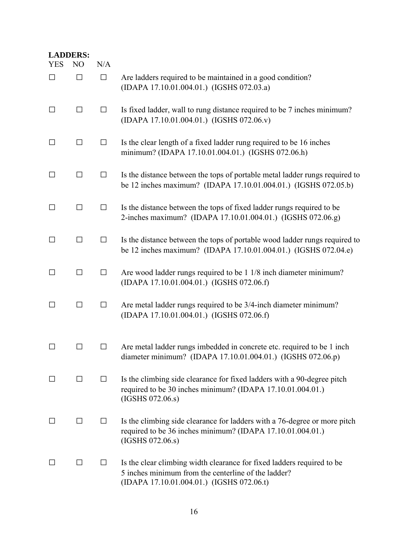|                      | <b>LADDERS:</b>     |               |                                                                                                                                                                            |
|----------------------|---------------------|---------------|----------------------------------------------------------------------------------------------------------------------------------------------------------------------------|
| <b>YES</b><br>$\Box$ | N <sub>O</sub><br>□ | N/A<br>$\Box$ | Are ladders required to be maintained in a good condition?                                                                                                                 |
|                      |                     |               | (IDAPA 17.10.01.004.01.) (IGSHS 072.03.a)                                                                                                                                  |
| $\Box$               | $\Box$              | $\Box$        | Is fixed ladder, wall to rung distance required to be 7 inches minimum?<br>(IDAPA 17.10.01.004.01.) (IGSHS 072.06.v)                                                       |
| $\Box$               | □                   | $\Box$        | Is the clear length of a fixed ladder rung required to be 16 inches<br>minimum? (IDAPA 17.10.01.004.01.) (IGSHS 072.06.h)                                                  |
| $\Box$               | □                   | $\Box$        | Is the distance between the tops of portable metal ladder rungs required to<br>be 12 inches maximum? (IDAPA 17.10.01.004.01.) (IGSHS 072.05.b)                             |
| П                    | □                   | $\Box$        | Is the distance between the tops of fixed ladder rungs required to be<br>2-inches maximum? (IDAPA 17.10.01.004.01.) (IGSHS 072.06.g)                                       |
| $\Box$               | □                   | $\Box$        | Is the distance between the tops of portable wood ladder rungs required to<br>be 12 inches maximum? (IDAPA 17.10.01.004.01.) (IGSHS 072.04.e)                              |
| $\Box$               | $\Box$              | $\Box$        | Are wood ladder rungs required to be 1 1/8 inch diameter minimum?<br>(IDAPA 17.10.01.004.01.) (IGSHS 072.06.f)                                                             |
| $\Box$               | □                   | $\Box$        | Are metal ladder rungs required to be 3/4-inch diameter minimum?<br>(IDAPA 17.10.01.004.01.) (IGSHS 072.06.f)                                                              |
|                      | $\perp$             | $\Box$        | Are metal ladder rungs imbedded in concrete etc. required to be 1 inch<br>diameter minimum? (IDAPA 17.10.01.004.01.) (IGSHS 072.06.p)                                      |
|                      | $\perp$             | ப             | Is the climbing side clearance for fixed ladders with a 90-degree pitch<br>required to be 30 inches minimum? (IDAPA 17.10.01.004.01.)<br>(IGSHS 072.06.s)                  |
| $\Box$               | $\Box$              | $\Box$        | Is the climbing side clearance for ladders with a 76-degree or more pitch<br>required to be 36 inches minimum? (IDAPA 17.10.01.004.01.)<br>(IGSHS 072.06.s)                |
|                      | $\Box$              | $\Box$        | Is the clear climbing width clearance for fixed ladders required to be<br>5 inches minimum from the centerline of the ladder?<br>(IDAPA 17.10.01.004.01.) (IGSHS 072.06.t) |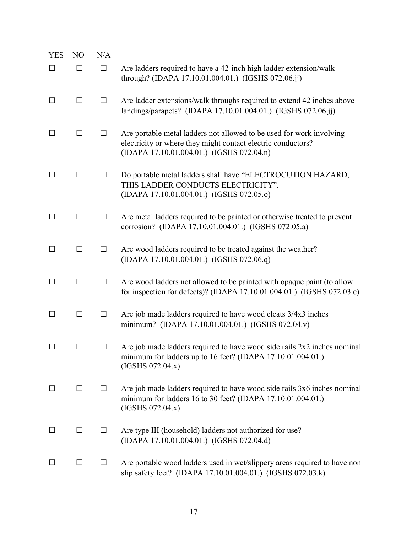| <b>YES</b> | N <sub>O</sub> | N/A    |                                                                                                                                                                                   |
|------------|----------------|--------|-----------------------------------------------------------------------------------------------------------------------------------------------------------------------------------|
| $\Box$     | $\Box$         | $\Box$ | Are ladders required to have a 42-inch high ladder extension/walk<br>through? (IDAPA 17.10.01.004.01.) (IGSHS 072.06.jj)                                                          |
| $\Box$     | $\Box$         | $\Box$ | Are ladder extensions/walk throughs required to extend 42 inches above<br>landings/parapets? (IDAPA 17.10.01.004.01.) (IGSHS 072.06.jj)                                           |
| П          | □              | $\Box$ | Are portable metal ladders not allowed to be used for work involving<br>electricity or where they might contact electric conductors?<br>(IDAPA 17.10.01.004.01.) (IGSHS 072.04.n) |
| □          | □              | $\Box$ | Do portable metal ladders shall have "ELECTROCUTION HAZARD,<br>THIS LADDER CONDUCTS ELECTRICITY".<br>(IDAPA 17.10.01.004.01.) (IGSHS 072.05.o)                                    |
| $\Box$     | □              | $\Box$ | Are metal ladders required to be painted or otherwise treated to prevent<br>corrosion? (IDAPA 17.10.01.004.01.) (IGSHS 072.05.a)                                                  |
| □          | $\Box$         | $\Box$ | Are wood ladders required to be treated against the weather?<br>(IDAPA 17.10.01.004.01.) (IGSHS 072.06.q)                                                                         |
| $\Box$     | $\Box$         | $\Box$ | Are wood ladders not allowed to be painted with opaque paint (to allow<br>for inspection for defects)? (IDAPA 17.10.01.004.01.) (IGSHS 072.03.e)                                  |
| $\Box$     | $\Box$         | $\Box$ | Are job made ladders required to have wood cleats 3/4x3 inches<br>minimum? (IDAPA 17.10.01.004.01.) (IGSHS 072.04.v)                                                              |
| ΙI         | ΙI             | $\Box$ | Are job made ladders required to have wood side rails $2x2$ inches nominal<br>minimum for ladders up to 16 feet? (IDAPA 17.10.01.004.01.)<br>(IGSHS 072.04.x)                     |
| $\perp$    | □              | $\Box$ | Are job made ladders required to have wood side rails 3x6 inches nominal<br>minimum for ladders 16 to 30 feet? (IDAPA 17.10.01.004.01.)<br>(IGSHS 072.04.x)                       |
| ⊔          | $\Box$         | $\Box$ | Are type III (household) ladders not authorized for use?<br>(IDAPA 17.10.01.004.01.) (IGSHS 072.04.d)                                                                             |
| $\Box$     | □              | $\Box$ | Are portable wood ladders used in wet/slippery areas required to have non<br>slip safety feet? (IDAPA 17.10.01.004.01.) (IGSHS 072.03.k)                                          |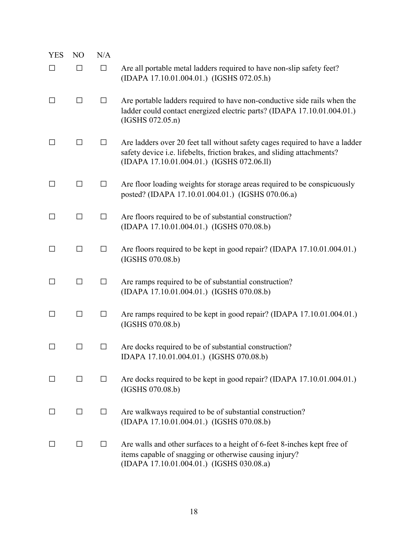| <b>YES</b>   | N <sub>O</sub> | N/A    |                                                                                                                                                                                                       |
|--------------|----------------|--------|-------------------------------------------------------------------------------------------------------------------------------------------------------------------------------------------------------|
| $\Box$       | П              | $\Box$ | Are all portable metal ladders required to have non-slip safety feet?<br>(IDAPA 17.10.01.004.01.) (IGSHS 072.05.h)                                                                                    |
| $\Box$       | $\Box$         | $\Box$ | Are portable ladders required to have non-conductive side rails when the<br>ladder could contact energized electric parts? (IDAPA 17.10.01.004.01.)<br>(IGSHS 072.05.n)                               |
| ΙI           | П              | $\Box$ | Are ladders over 20 feet tall without safety cages required to have a ladder<br>safety device i.e. lifebelts, friction brakes, and sliding attachments?<br>(IDAPA 17.10.01.004.01.) (IGSHS 072.06.11) |
| $\Box$       | $\perp$        | $\Box$ | Are floor loading weights for storage areas required to be conspicuously<br>posted? (IDAPA 17.10.01.004.01.) (IGSHS 070.06.a)                                                                         |
| $\Box$       | $\Box$         | $\Box$ | Are floors required to be of substantial construction?<br>(IDAPA 17.10.01.004.01.) (IGSHS 070.08.b)                                                                                                   |
| $\Box$       | □              | $\Box$ | Are floors required to be kept in good repair? (IDAPA 17.10.01.004.01.)<br>(IGSHS 070.08.b)                                                                                                           |
| $\Box$       | $\Box$         | $\Box$ | Are ramps required to be of substantial construction?<br>(IDAPA 17.10.01.004.01.) (IGSHS 070.08.b)                                                                                                    |
| $\Box$       | $\Box$         | $\Box$ | Are ramps required to be kept in good repair? (IDAPA 17.10.01.004.01.)<br>(IGSHS 070.08.b)                                                                                                            |
| $\mathsf{L}$ | ΙI             | $\Box$ | Are docks required to be of substantial construction?<br>IDAPA 17.10.01.004.01.) (IGSHS 070.08.b)                                                                                                     |
| $\Box$       | □              | $\Box$ | Are docks required to be kept in good repair? (IDAPA 17.10.01.004.01.)<br>(IGSHS 070.08.b)                                                                                                            |
| $\Box$       | $\Box$         | $\Box$ | Are walkways required to be of substantial construction?<br>(IDAPA 17.10.01.004.01.) (IGSHS 070.08.b)                                                                                                 |
|              | $\Box$         | $\Box$ | Are walls and other surfaces to a height of 6-feet 8-inches kept free of<br>items capable of snagging or otherwise causing injury?<br>(IDAPA 17.10.01.004.01.) (IGSHS 030.08.a)                       |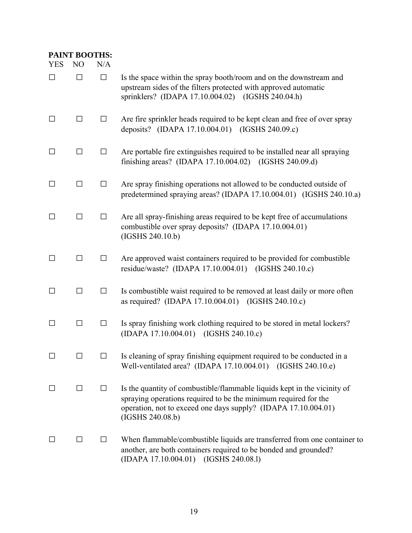| <b>PAINT BOOTHS:</b> |                |        |                                                                                                                                                                                                                                   |
|----------------------|----------------|--------|-----------------------------------------------------------------------------------------------------------------------------------------------------------------------------------------------------------------------------------|
| <b>YES</b>           | N <sub>O</sub> | N/A    |                                                                                                                                                                                                                                   |
| $\Box$               | $\Box$         | $\Box$ | Is the space within the spray booth/room and on the downstream and<br>upstream sides of the filters protected with approved automatic<br>sprinklers? (IDAPA 17.10.004.02) (IGSHS 240.04.h)                                        |
| $\Box$               | П              | $\Box$ | Are fire sprinkler heads required to be kept clean and free of over spray<br>deposits? (IDAPA 17.10.004.01) (IGSHS 240.09.c)                                                                                                      |
| $\Box$               | П              | $\Box$ | Are portable fire extinguishes required to be installed near all spraying<br>finishing areas? (IDAPA $17.10.004.02$ )<br>(IGSHS 240.09.d)                                                                                         |
| $\Box$               | □              | $\Box$ | Are spray finishing operations not allowed to be conducted outside of<br>predetermined spraying areas? (IDAPA 17.10.004.01) (IGSHS 240.10.a)                                                                                      |
| $\Box$               | □              | $\Box$ | Are all spray-finishing areas required to be kept free of accumulations<br>combustible over spray deposits? (IDAPA 17.10.004.01)<br>(IGSHS 240.10.b)                                                                              |
| $\Box$               | □              | $\Box$ | Are approved waist containers required to be provided for combustible<br>residue/waste? (IDAPA 17.10.004.01) (IGSHS 240.10.c)                                                                                                     |
| $\Box$               | $\Box$         | $\Box$ | Is combustible waist required to be removed at least daily or more often<br>as required? (IDAPA 17.10.004.01) (IGSHS 240.10.c)                                                                                                    |
| $\Box$               | □              | $\Box$ | Is spray finishing work clothing required to be stored in metal lockers?<br>(IDAPA 17.10.004.01) (IGSHS 240.10.c)                                                                                                                 |
|                      | $\Box$         | $\Box$ | Is cleaning of spray finishing equipment required to be conducted in a<br>Well-ventilated area? (IDAPA 17.10.004.01) (IGSHS 240.10.e)                                                                                             |
| $\Box$               | $\Box$         | $\Box$ | Is the quantity of combustible/flammable liquids kept in the vicinity of<br>spraying operations required to be the minimum required for the<br>operation, not to exceed one days supply? (IDAPA 17.10.004.01)<br>(IGSHS 240.08.b) |
|                      | $\Box$         | П      | When flammable/combustible liquids are transferred from one container to<br>another, are both containers required to be bonded and grounded?<br>(IGSHS 240.08.1)<br>(IDAPA 17.10.004.01)                                          |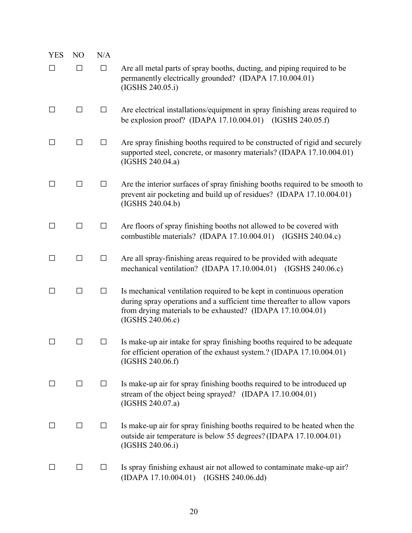| <b>YES</b> | N <sub>O</sub> | N/A    |                                                                                                                                                                                                                                      |
|------------|----------------|--------|--------------------------------------------------------------------------------------------------------------------------------------------------------------------------------------------------------------------------------------|
| $\Box$     | $\Box$         | $\Box$ | Are all metal parts of spray booths, ducting, and piping required to be<br>permanently electrically grounded? (IDAPA 17.10.004.01)<br>(IGSHS 240.05.i)                                                                               |
| □          | $\Box$         | $\Box$ | Are electrical installations/equipment in spray finishing areas required to<br>be explosion proof? (IDAPA 17.10.004.01) (IGSHS 240.05.f)                                                                                             |
| $\Box$     | $\Box$         | $\Box$ | Are spray finishing booths required to be constructed of rigid and securely<br>supported steel, concrete, or masonry materials? (IDAPA 17.10.004.01)<br>(IGSHS 240.04.a)                                                             |
| $\Box$     | □              | $\Box$ | Are the interior surfaces of spray finishing booths required to be smooth to<br>prevent air pocketing and build up of residues? (IDAPA 17.10.004.01)<br>(IGSHS 240.04.b)                                                             |
| $\Box$     | $\Box$         | $\Box$ | Are floors of spray finishing booths not allowed to be covered with<br>combustible materials? (IDAPA 17.10.004.01) (IGSHS 240.04.c)                                                                                                  |
| $\Box$     | $\Box$         | $\Box$ | Are all spray-finishing areas required to be provided with adequate<br>mechanical ventilation? (IDAPA 17.10.004.01) (IGSHS 240.06.c)                                                                                                 |
| □          | $\Box$         | $\Box$ | Is mechanical ventilation required to be kept in continuous operation<br>during spray operations and a sufficient time thereafter to allow vapors<br>from drying materials to be exhausted? (IDAPA 17.10.004.01)<br>(IGSHS 240.06.c) |
| $\Box$     | $\Box$         | $\Box$ | Is make-up air intake for spray finishing booths required to be adequate<br>for efficient operation of the exhaust system.? (IDAPA 17.10.004.01)<br>(IGSHS 240.06.f)                                                                 |
| $\Box$     | $\Box$         | $\Box$ | Is make-up air for spray finishing booths required to be introduced up<br>stream of the object being sprayed? (IDAPA 17.10.004.01)<br>(IGSHS 240.07.a)                                                                               |
| $\Box$     | $\Box$         | $\Box$ | Is make-up air for spray finishing booths required to be heated when the<br>outside air temperature is below 55 degrees? (IDAPA 17.10.004.01)<br>(IGSHS 240.06.i)                                                                    |
| $\Box$     | $\Box$         | $\Box$ | Is spray finishing exhaust air not allowed to contaminate make-up air?<br>(IDAPA 17.10.004.01) (IGSHS 240.06.dd)                                                                                                                     |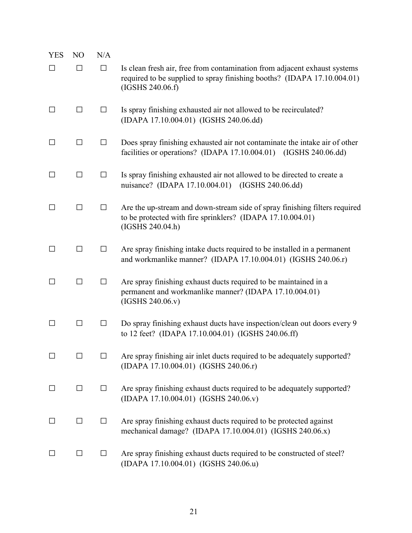| <b>YES</b>   | N <sub>O</sub> | N/A    |                                                                                                                                                                          |
|--------------|----------------|--------|--------------------------------------------------------------------------------------------------------------------------------------------------------------------------|
| $\Box$       | $\Box$         | $\Box$ | Is clean fresh air, free from contamination from adjacent exhaust systems<br>required to be supplied to spray finishing booths? (IDAPA 17.10.004.01)<br>(IGSHS 240.06.f) |
|              | $\Box$         | $\Box$ | Is spray finishing exhausted air not allowed to be recirculated?<br>(IDAPA 17.10.004.01) (IGSHS 240.06.dd)                                                               |
|              | $\Box$         | $\Box$ | Does spray finishing exhausted air not contaminate the intake air of other<br>facilities or operations? (IDAPA 17.10.004.01) (IGSHS 240.06.dd)                           |
| $\perp$      | $\perp$        | $\Box$ | Is spray finishing exhausted air not allowed to be directed to create a<br>nuisance? (IDAPA 17.10.004.01) (IGSHS 240.06.dd)                                              |
|              | □              | $\Box$ | Are the up-stream and down-stream side of spray finishing filters required<br>to be protected with fire sprinklers? (IDAPA 17.10.004.01)<br>(IGSHS 240.04.h)             |
| П            | $\Box$         | $\Box$ | Are spray finishing intake ducts required to be installed in a permanent<br>and workmanlike manner? (IDAPA 17.10.004.01) (IGSHS 240.06.r)                                |
| $\perp$      | П              | $\Box$ | Are spray finishing exhaust ducts required to be maintained in a<br>permanent and workmanlike manner? (IDAPA 17.10.004.01)<br>(IGSHS 240.06.v)                           |
| ΙI           | П              | П      | Do spray finishing exhaust ducts have inspection/clean out doors every 9<br>to 12 feet? (IDAPA 17.10.004.01) (IGSHS 240.06.ff)                                           |
| $\mathsf{L}$ | $\perp$        | $\Box$ | Are spray finishing air inlet ducts required to be adequately supported?<br>(IDAPA 17.10.004.01) (IGSHS 240.06.r)                                                        |
| $\perp$      | $\Box$         | $\Box$ | Are spray finishing exhaust ducts required to be adequately supported?<br>(IDAPA 17.10.004.01) (IGSHS 240.06.v)                                                          |
|              | $\Box$         | $\Box$ | Are spray finishing exhaust ducts required to be protected against<br>mechanical damage? (IDAPA 17.10.004.01) (IGSHS 240.06.x)                                           |
|              | $\Box$         | $\Box$ | Are spray finishing exhaust ducts required to be constructed of steel?<br>(IDAPA 17.10.004.01) (IGSHS 240.06.u)                                                          |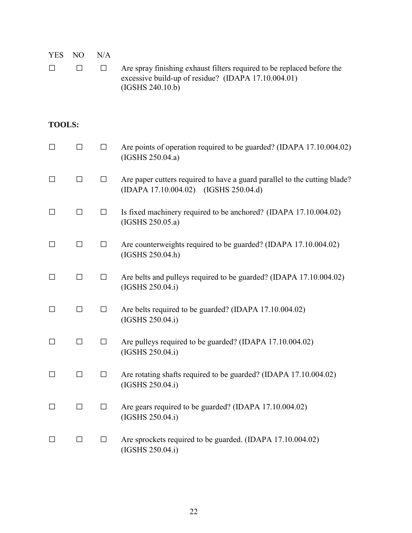| <b>YES</b><br>□ | N <sub>O</sub><br>□ | N/A<br>$\Box$ | Are spray finishing exhaust filters required to be replaced before the<br>excessive build-up of residue? (IDAPA 17.10.004.01)<br>(IGSHS 240.10.b) |
|-----------------|---------------------|---------------|---------------------------------------------------------------------------------------------------------------------------------------------------|
| <b>TOOLS:</b>   |                     |               |                                                                                                                                                   |
| $\Box$          | $\Box$              | $\Box$        | Are points of operation required to be guarded? (IDAPA 17.10.004.02)<br>(IGSHS 250.04.a)                                                          |
| $\Box$          | $\Box$              | $\Box$        | Are paper cutters required to have a guard parallel to the cutting blade?<br>(IDAPA 17.10.004.02) (IGSHS 250.04.d)                                |
| $\Box$          | $\Box$              | $\Box$        | Is fixed machinery required to be anchored? (IDAPA 17.10.004.02)<br>(IGSHS 250.05.a)                                                              |
| $\Box$          | $\Box$              | $\Box$        | Are counterweights required to be guarded? (IDAPA 17.10.004.02)<br>(IGSHS 250.04.h)                                                               |
| П               | $\Box$              | $\Box$        | Are belts and pulleys required to be guarded? (IDAPA 17.10.004.02)<br>(IGSHS 250.04.i)                                                            |
| $\Box$          | □                   | $\Box$        | Are belts required to be guarded? (IDAPA 17.10.004.02)<br>(IGSHS 250.04.i)                                                                        |
| $\Box$          | $\Box$              | ⊔             | Are pulleys required to be guarded? (IDAPA 17.10.004.02)<br>(IGSHS 250.04.i)                                                                      |
| $\Box$          | $\Box$              | $\Box$        | Are rotating shafts required to be guarded? (IDAPA 17.10.004.02)<br>(IGSHS 250.04.i)                                                              |
| $\perp$         | □                   | $\Box$        | Are gears required to be guarded? (IDAPA 17.10.004.02)<br>(IGSHS 250.04.i)                                                                        |
| $\perp$         | $\Box$              | $\Box$        | Are sprockets required to be guarded. (IDAPA 17.10.004.02)<br>(IGSHS 250.04.i)                                                                    |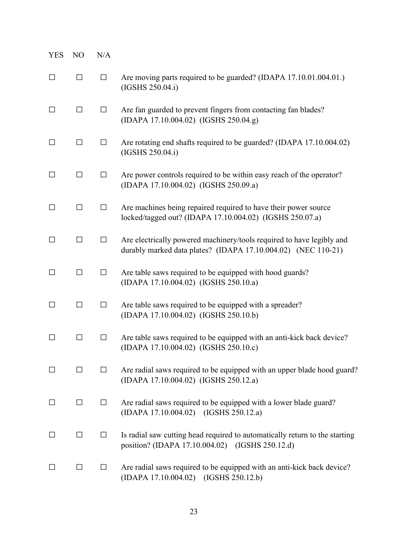| <b>YES</b> | NO      | N/A    |                                                                                                                                        |
|------------|---------|--------|----------------------------------------------------------------------------------------------------------------------------------------|
| $\Box$     | $\Box$  | $\Box$ | Are moving parts required to be guarded? (IDAPA 17.10.01.004.01.)<br>(IGSHS 250.04.i)                                                  |
| $\Box$     | □       | $\Box$ | Are fan guarded to prevent fingers from contacting fan blades?<br>(IDAPA 17.10.004.02) (IGSHS 250.04.g)                                |
| □          | $\Box$  | $\Box$ | Are rotating end shafts required to be guarded? (IDAPA 17.10.004.02)<br>(IGSHS 250.04.i)                                               |
| □          | $\Box$  | $\Box$ | Are power controls required to be within easy reach of the operator?<br>(IDAPA 17.10.004.02) (IGSHS 250.09.a)                          |
| $\Box$     | $\Box$  | $\Box$ | Are machines being repaired required to have their power source<br>locked/tagged out? (IDAPA 17.10.004.02) (IGSHS 250.07.a)            |
| П          | □       | $\Box$ | Are electrically powered machinery/tools required to have legibly and<br>durably marked data plates? (IDAPA 17.10.004.02) (NEC 110-21) |
| □          | $\Box$  | $\Box$ | Are table saws required to be equipped with hood guards?<br>(IDAPA 17.10.004.02) (IGSHS 250.10.a)                                      |
| $\Box$     | $\Box$  | $\Box$ | Are table saws required to be equipped with a spreader?<br>(IDAPA 17.10.004.02) (IGSHS 250.10.b)                                       |
| ΙI         | $\Box$  | $\Box$ | Are table saws required to be equipped with an anti-kick back device?<br>(IDAPA 17.10.004.02) (IGSHS 250.10.c)                         |
|            | $\perp$ | $\Box$ | Are radial saws required to be equipped with an upper blade hood guard?<br>(IDAPA 17.10.004.02) (IGSHS 250.12.a)                       |
| $\perp$    | $\Box$  | $\Box$ | Are radial saws required to be equipped with a lower blade guard?<br>(IDAPA 17.10.004.02) (IGSHS 250.12.a)                             |
| $\perp$    | $\Box$  | $\Box$ | Is radial saw cutting head required to automatically return to the starting<br>position? (IDAPA 17.10.004.02) (IGSHS 250.12.d)         |
| $\Box$     | $\Box$  | $\Box$ | Are radial saws required to be equipped with an anti-kick back device?<br>(IDAPA 17.10.004.02) (IGSHS 250.12.b)                        |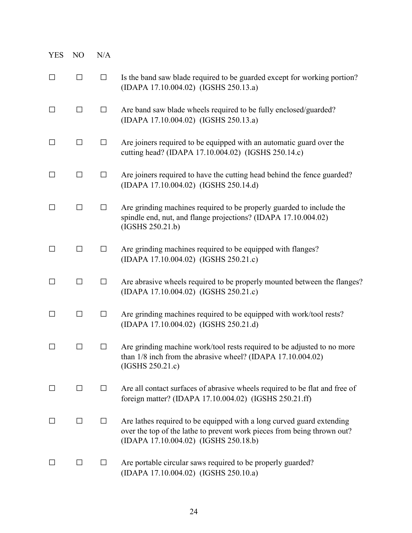| <b>YES</b> | N <sub>O</sub>    | N/A          |                                                                                                                                                                                           |
|------------|-------------------|--------------|-------------------------------------------------------------------------------------------------------------------------------------------------------------------------------------------|
| $\Box$     | $\Box$            | $\Box$       | Is the band saw blade required to be guarded except for working portion?<br>(IDAPA 17.10.004.02) (IGSHS 250.13.a)                                                                         |
| □          | $\Box$            | $\Box$       | Are band saw blade wheels required to be fully enclosed/guarded?<br>(IDAPA 17.10.004.02) (IGSHS 250.13.a)                                                                                 |
| $\Box$     | □                 | $\Box$       | Are joiners required to be equipped with an automatic guard over the<br>cutting head? (IDAPA 17.10.004.02) (IGSHS 250.14.c)                                                               |
| $\Box$     | □                 | $\Box$       | Are joiners required to have the cutting head behind the fence guarded?<br>(IDAPA 17.10.004.02) (IGSHS 250.14.d)                                                                          |
| $\perp$    | $\Box$            | $\Box$       | Are grinding machines required to be properly guarded to include the<br>spindle end, nut, and flange projections? (IDAPA 17.10.004.02)<br>(IGSHS 250.21.b)                                |
| □          | $\Box$            | $\Box$       | Are grinding machines required to be equipped with flanges?<br>(IDAPA 17.10.004.02) (IGSHS 250.21.c)                                                                                      |
| □          | $\Box$            | $\Box$       | Are abrasive wheels required to be properly mounted between the flanges?<br>(IDAPA 17.10.004.02) (IGSHS 250.21.c)                                                                         |
| □          | $\Box$            | $\Box$       | Are grinding machines required to be equipped with work/tool rests?<br>(IDAPA 17.10.004.02) (IGSHS 250.21.d)                                                                              |
|            | $\vert \ \ \vert$ | $\mathsf{L}$ | Are grinding machine work/tool rests required to be adjusted to no more<br>than $1/8$ inch from the abrasive wheel? (IDAPA $17.10.004.02$ )<br>(IGSHS 250.21.c)                           |
| П          | □                 | $\Box$       | Are all contact surfaces of abrasive wheels required to be flat and free of<br>foreign matter? (IDAPA 17.10.004.02) (IGSHS 250.21.ff)                                                     |
| $\perp$    | □                 | $\Box$       | Are lathes required to be equipped with a long curved guard extending<br>over the top of the lathe to prevent work pieces from being thrown out?<br>(IDAPA 17.10.004.02) (IGSHS 250.18.b) |
| $\perp$    | $\Box$            | ⊔            | Are portable circular saws required to be properly guarded?<br>(IDAPA 17.10.004.02) (IGSHS 250.10.a)                                                                                      |